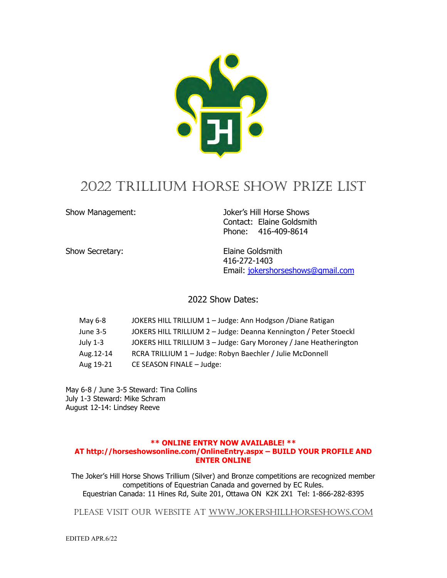

# 2022 TRILLIUM HORSE SHOW PRIZE LIST

Show Management: Joker's Hill Horse Shows Contact: Elaine Goldsmith Phone: 416-409-8614

Show Secretary: Elaine Goldsmith 416-272-1403 Email: [jokershorseshows@gmail.com](mailto:jokershorseshows@gmail.com)

2022 Show Dates:

| May 6-8   | JOKERS HILL TRILLIUM 1 - Judge: Ann Hodgson / Diane Ratigan       |
|-----------|-------------------------------------------------------------------|
| June 3-5  | JOKERS HILL TRILLIUM 2 - Judge: Deanna Kennington / Peter Stoeckl |
| July 1-3  | JOKERS HILL TRILLIUM 3 - Judge: Gary Moroney / Jane Heatherington |
| Aug.12-14 | RCRA TRILLIUM 1 - Judge: Robyn Baechler / Julie McDonnell         |
| Aug 19-21 | CE SEASON FINALE - Judge:                                         |

May 6-8 / June 3-5 Steward: Tina Collins July 1-3 Steward: Mike Schram August 12-14: Lindsey Reeve

### **\*\* ONLINE ENTRY NOW AVAILABLE! \*\* AT http://horseshowsonline.com/OnlineEntry.aspx – BUILD YOUR PROFILE AND ENTER ONLINE**

The Joker's Hill Horse Shows Trillium (Silver) and Bronze competitions are recognized member competitions of Equestrian Canada and governed by EC Rules. Equestrian Canada: 11 Hines Rd, Suite 201, Ottawa ON K2K 2X1 Tel: 1-866-282-8395

Please visit our website at [www.jokershillhorseshows.com](http://www.jokershillhorseshows.com/)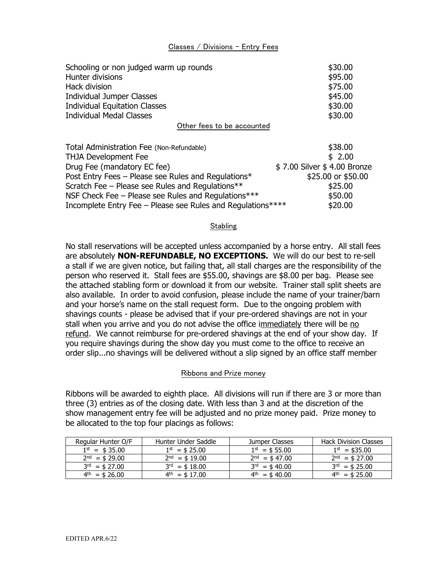### Classes / Divisions – Entry Fees

| Schooling or non judged warm up rounds<br>Hunter divisions<br>Hack division<br>Individual Jumper Classes | \$30.00<br>\$95.00<br>\$75.00<br>\$45.00 |
|----------------------------------------------------------------------------------------------------------|------------------------------------------|
| <b>Individual Equitation Classes</b>                                                                     | \$30.00                                  |
| <b>Individual Medal Classes</b>                                                                          | \$30.00                                  |
| Other fees to be accounted                                                                               |                                          |
| Total Administration Fee (Non-Refundable)                                                                | \$38.00                                  |
| <b>THJA Development Fee</b>                                                                              | \$2.00                                   |
| Drug Fee (mandatory EC fee)                                                                              | \$7.00 Silver \$4.00 Bronze              |
| Post Entry Fees – Please see Rules and Regulations*                                                      | \$25.00 or \$50.00                       |
| Scratch Fee - Please see Rules and Regulations**                                                         | \$25.00                                  |
| NSF Check Fee – Please see Rules and Regulations***                                                      | \$50.00                                  |

### **Stabling**

Incomplete Entry Fee – Please see Rules and Regulations\*\*\*\* \$20.00

No stall reservations will be accepted unless accompanied by a horse entry. All stall fees are absolutely **NON-REFUNDABLE, NO EXCEPTIONS.** We will do our best to re-sell a stall if we are given notice, but failing that, all stall charges are the responsibility of the person who reserved it. Stall fees are \$55.00, shavings are \$8.00 per bag. Please see the attached stabling form or download it from our website. Trainer stall split sheets are also available. In order to avoid confusion, please include the name of your trainer/barn and your horse's name on the stall request form. Due to the ongoing problem with shavings counts - please be advised that if your pre-ordered shavings are not in your stall when you arrive and you do not advise the office immediately there will be no refund. We cannot reimburse for pre-ordered shavings at the end of your show day. If you require shavings during the show day you must come to the office to receive an order slip...no shavings will be delivered without a slip signed by an office staff member

### Ribbons and Prize money

Ribbons will be awarded to eighth place. All divisions will run if there are 3 or more than three (3) entries as of the closing date. With less than 3 and at the discretion of the show management entry fee will be adjusted and no prize money paid. Prize money to be allocated to the top four placings as follows:

| Regular Hunter O/F       | Hunter Under Saddle | Jumper Classes           | Hack Division Classes |
|--------------------------|---------------------|--------------------------|-----------------------|
| $1^{\text{st}} = $35.00$ | $1^{st} = $25.00$   | $1^{st} = $55.00$        | $1^{st}$ = \$35.00    |
| $2nd = $29.00$           | $2nd = $19.00$      | $2nd = $47.00$           | $2nd = $27.00$        |
| $3rd = $27.00$           | $3rd = $18.00$      | $3rd = $40.00$           | $3^{rd} = $25.00$     |
| $4^{\text{th}} = $26.00$ | $4th = $17.00$      | $4^{\text{th}} = $40.00$ | $4th = $25.00$        |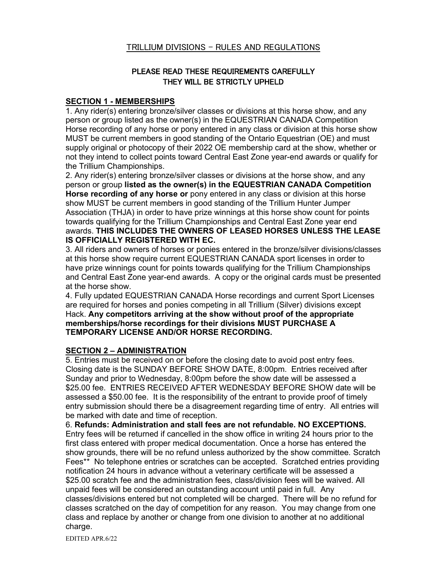### TRILLIUM DIVISIONS – RULES AND REGULATIONS

### PLEASE READ THESE REQUIREMENTS CAREFULLY THEY WILL BE STRICTLY UPHELD

### **SECTION 1 - MEMBERSHIPS**

1. Any rider(s) entering bronze/silver classes or divisions at this horse show, and any person or group listed as the owner(s) in the EQUESTRIAN CANADA Competition Horse recording of any horse or pony entered in any class or division at this horse show MUST be current members in good standing of the Ontario Equestrian (OE) and must supply original or photocopy of their 2022 OE membership card at the show, whether or not they intend to collect points toward Central East Zone year-end awards or qualify for the Trillium Championships.

2. Any rider(s) entering bronze/silver classes or divisions at the horse show, and any person or group **listed as the owner(s) in the EQUESTRIAN CANADA Competition Horse recording of any horse or** pony entered in any class or division at this horse show MUST be current members in good standing of the Trillium Hunter Jumper Association (THJA) in order to have prize winnings at this horse show count for points towards qualifying for the Trillium Championships and Central East Zone year end awards. **THIS INCLUDES THE OWNERS OF LEASED HORSES UNLESS THE LEASE IS OFFICIALLY REGISTERED WITH EC.**

3. All riders and owners of horses or ponies entered in the bronze/silver divisions/classes at this horse show require current EQUESTRIAN CANADA sport licenses in order to have prize winnings count for points towards qualifying for the Trillium Championships and Central East Zone year-end awards. A copy or the original cards must be presented at the horse show.

4. Fully updated EQUESTRIAN CANADA Horse recordings and current Sport Licenses are required for horses and ponies competing in all Trillium (Silver) divisions except Hack. **Any competitors arriving at the show without proof of the appropriate memberships/horse recordings for their divisions MUST PURCHASE A TEMPORARY LICENSE AND/OR HORSE RECORDING.** 

### **SECTION 2 – ADMINISTRATION**

5. Entries must be received on or before the closing date to avoid post entry fees. Closing date is the SUNDAY BEFORE SHOW DATE, 8:00pm. Entries received after Sunday and prior to Wednesday, 8:00pm before the show date will be assessed a \$25.00 fee. ENTRIES RECEIVED AFTER WEDNESDAY BEFORE SHOW date will be assessed a \$50.00 fee. It is the responsibility of the entrant to provide proof of timely entry submission should there be a disagreement regarding time of entry. All entries will be marked with date and time of reception.

6. **Refunds: Administration and stall fees are not refundable. NO EXCEPTIONS.**  Entry fees will be returned if cancelled in the show office in writing 24 hours prior to the first class entered with proper medical documentation. Once a horse has entered the show grounds, there will be no refund unless authorized by the show committee. Scratch Fees\*\* No telephone entries or scratches can be accepted. Scratched entries providing notification 24 hours in advance without a veterinary certificate will be assessed a \$25.00 scratch fee and the administration fees, class/division fees will be waived. All unpaid fees will be considered an outstanding account until paid in full. Any classes/divisions entered but not completed will be charged. There will be no refund for classes scratched on the day of competition for any reason. You may change from one class and replace by another or change from one division to another at no additional charge.

EDITED APR.6/22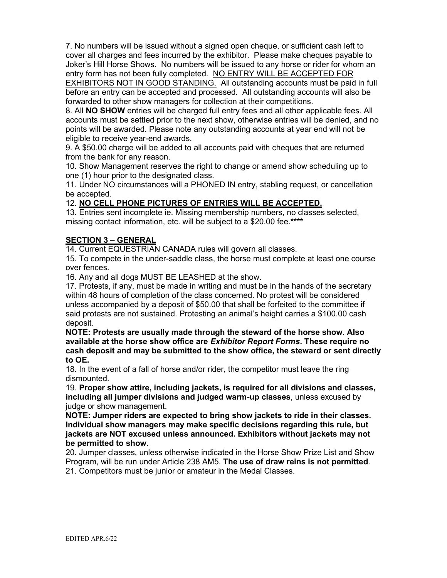7. No numbers will be issued without a signed open cheque, or sufficient cash left to cover all charges and fees incurred by the exhibitor. Please make cheques payable to Joker's Hill Horse Shows. No numbers will be issued to any horse or rider for whom an entry form has not been fully completed. NO ENTRY WILL BE ACCEPTED FOR **EXHIBITORS NOT IN GOOD STANDING.** All outstanding accounts must be paid in full before an entry can be accepted and processed. All outstanding accounts will also be forwarded to other show managers for collection at their competitions.

8. All **NO SHOW** entries will be charged full entry fees and all other applicable fees. All accounts must be settled prior to the next show, otherwise entries will be denied, and no points will be awarded. Please note any outstanding accounts at year end will not be eligible to receive year-end awards.

9. A \$50.00 charge will be added to all accounts paid with cheques that are returned from the bank for any reason.

10. Show Management reserves the right to change or amend show scheduling up to one (1) hour prior to the designated class.

11. Under NO circumstances will a PHONED IN entry, stabling request, or cancellation be accepted.

### 12. **NO CELL PHONE PICTURES OF ENTRIES WILL BE ACCEPTED.**

13. Entries sent incomplete ie. Missing membership numbers, no classes selected, missing contact information, etc. will be subject to a \$20.00 fee.**\*\*\*\***

### **SECTION 3 – GENERAL**

14. Current EQUESTRIAN CANADA rules will govern all classes.

15. To compete in the under-saddle class, the horse must complete at least one course over fences.

16. Any and all dogs MUST BE LEASHED at the show.

17. Protests, if any, must be made in writing and must be in the hands of the secretary within 48 hours of completion of the class concerned. No protest will be considered unless accompanied by a deposit of \$50.00 that shall be forfeited to the committee if said protests are not sustained. Protesting an animal's height carries a \$100.00 cash deposit.

**NOTE: Protests are usually made through the steward of the horse show. Also available at the horse show office are** *Exhibitor Report Forms***. These require no cash deposit and may be submitted to the show office, the steward or sent directly to OE.**

18. In the event of a fall of horse and/or rider, the competitor must leave the ring dismounted.

19. **Proper show attire, including jackets, is required for all divisions and classes, including all jumper divisions and judged warm-up classes**, unless excused by judge or show management.

**NOTE: Jumper riders are expected to bring show jackets to ride in their classes. Individual show managers may make specific decisions regarding this rule, but jackets are NOT excused unless announced. Exhibitors without jackets may not be permitted to show.**

20. Jumper classes, unless otherwise indicated in the Horse Show Prize List and Show Program, will be run under Article 238 AM5. **The use of draw reins is not permitted**. 21. Competitors must be junior or amateur in the Medal Classes.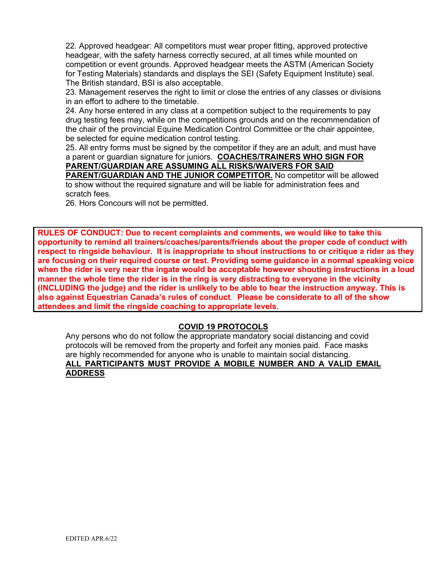22. Approved headgear: All competitors must wear proper fitting, approved protective headgear, with the safety harness correctly secured, at all times while mounted on competition or event grounds. Approved headgear meets the ASTM (American Society for Testing Materials) standards and displays the SEI (Safety Equipment Institute) seal. The British standard, BSI is also acceptable.

23. Management reserves the right to limit or close the entries of any classes or divisions in an effort to adhere to the timetable.

24. Any horse entered in any class at a competition subject to the requirements to pay drug testing fees may, while on the competitions grounds and on the recommendation of the chair of the provincial Equine Medication Control Committee or the chair appointee, be selected for equine medication control testing.

25. All entry forms must be signed by the competitor if they are an adult, and must have a parent or guardian signature for juniors. **COACHES/TRAINERS WHO SIGN FOR** 

## **PARENT/GUARDIAN ARE ASSUMING ALL RISKS/WAIVERS FOR SAID**

**PARENT/GUARDIAN AND THE JUNIOR COMPETITOR.** No competitor will be allowed to show without the required signature and will be liable for administration fees and scratch fees.

26. Hors Concours will not be permitted.

**RULES OF CONDUCT: Due to recent complaints and comments, we would like to take this opportunity to remind all trainers/coaches/parents/friends about the proper code of conduct with respect to ringside behaviour. It is inappropriate to shout instructions to or critique a rider as they are focusing on their required course or test. Providing some guidance in a normal speaking voice when the rider is very near the ingate would be acceptable however shouting instructions in a loud manner the whole time the rider is in the ring is very distracting to everyone in the vicinity (INCLUDING the judge) and the rider is unlikely to be able to hear the instruction anyway. This is also against Equestrian Canada's rules of conduct**. **Please be considerate to all of the show attendees and limit the ringside coaching to appropriate levels.**

### **COVID 19 PROTOCOLS**

Any persons who do not follow the appropriate mandatory social distancing and covid protocols will be removed from the property and forfeit any monies paid. Face masks are highly recommended for anyone who is unable to maintain social distancing. **ALL PARTICIPANTS MUST PROVIDE A MOBILE NUMBER AND A VALID EMAIL ADDRESS**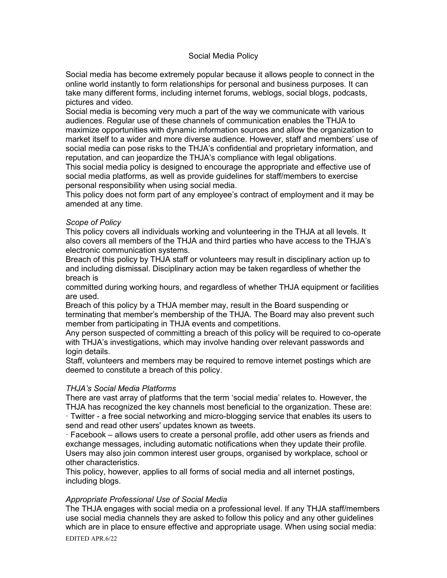### Social Media Policy

Social media has become extremely popular because it allows people to connect in the online world instantly to form relationships for personal and business purposes. It can take many different forms, including internet forums, weblogs, social blogs, podcasts, pictures and video.

Social media is becoming very much a part of the way we communicate with various audiences. Regular use of these channels of communication enables the THJA to maximize opportunities with dynamic information sources and allow the organization to market itself to a wider and more diverse audience. However, staff and members' use of social media can pose risks to the THJA's confidential and proprietary information, and reputation, and can jeopardize the THJA's compliance with legal obligations.

This social media policy is designed to encourage the appropriate and effective use of social media platforms, as well as provide guidelines for staff/members to exercise personal responsibility when using social media.

This policy does not form part of any employee's contract of employment and it may be amended at any time.

### *Scope of Policy*

This policy covers all individuals working and volunteering in the THJA at all levels. It also covers all members of the THJA and third parties who have access to the THJA's electronic communication systems.

Breach of this policy by THJA staff or volunteers may result in disciplinary action up to and including dismissal. Disciplinary action may be taken regardless of whether the breach is

committed during working hours, and regardless of whether THJA equipment or facilities are used.

Breach of this policy by a THJA member may, result in the Board suspending or terminating that member's membership of the THJA. The Board may also prevent such member from participating in THJA events and competitions.

Any person suspected of committing a breach of this policy will be required to co-operate with THJA's investigations, which may involve handing over relevant passwords and login details.

Staff, volunteers and members may be required to remove internet postings which are deemed to constitute a breach of this policy.

### *THJA's Social Media Platforms*

There are vast array of platforms that the term 'social media' relates to. However, the THJA has recognized the key channels most beneficial to the organization. These are: · Twitter - a free social networking and micro-blogging service that enables its users to send and read other users' updates known as tweets.

· Facebook – allows users to create a personal profile, add other users as friends and exchange messages, including automatic notifications when they update their profile. Users may also join common interest user groups, organised by workplace, school or other characteristics.

This policy, however, applies to all forms of social media and all internet postings, including blogs.

### *Appropriate Professional Use of Social Media*

EDITED APR.6/22 The THJA engages with social media on a professional level. If any THJA staff/members use social media channels they are asked to follow this policy and any other guidelines which are in place to ensure effective and appropriate usage. When using social media: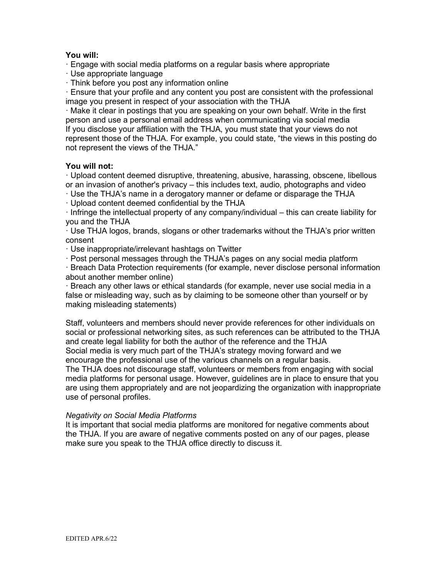### **You will:**

· Engage with social media platforms on a regular basis where appropriate

- · Use appropriate language
- · Think before you post any information online

· Ensure that your profile and any content you post are consistent with the professional image you present in respect of your association with the THJA

· Make it clear in postings that you are speaking on your own behalf. Write in the first person and use a personal email address when communicating via social media If you disclose your affiliation with the THJA, you must state that your views do not represent those of the THJA. For example, you could state, "the views in this posting do not represent the views of the THJA."

### **You will not:**

· Upload content deemed disruptive, threatening, abusive, harassing, obscene, libellous or an invasion of another's privacy – this includes text, audio, photographs and video

· Use the THJA's name in a derogatory manner or defame or disparage the THJA

· Upload content deemed confidential by the THJA

· Infringe the intellectual property of any company/individual – this can create liability for you and the THJA

· Use THJA logos, brands, slogans or other trademarks without the THJA's prior written consent

· Use inappropriate/irrelevant hashtags on Twitter

· Post personal messages through the THJA's pages on any social media platform

· Breach Data Protection requirements (for example, never disclose personal information about another member online)

· Breach any other laws or ethical standards (for example, never use social media in a false or misleading way, such as by claiming to be someone other than yourself or by making misleading statements)

Staff, volunteers and members should never provide references for other individuals on social or professional networking sites, as such references can be attributed to the THJA and create legal liability for both the author of the reference and the THJA Social media is very much part of the THJA's strategy moving forward and we encourage the professional use of the various channels on a regular basis.

The THJA does not discourage staff, volunteers or members from engaging with social media platforms for personal usage. However, guidelines are in place to ensure that you are using them appropriately and are not jeopardizing the organization with inappropriate use of personal profiles.

### *Negativity on Social Media Platforms*

It is important that social media platforms are monitored for negative comments about the THJA. If you are aware of negative comments posted on any of our pages, please make sure you speak to the THJA office directly to discuss it.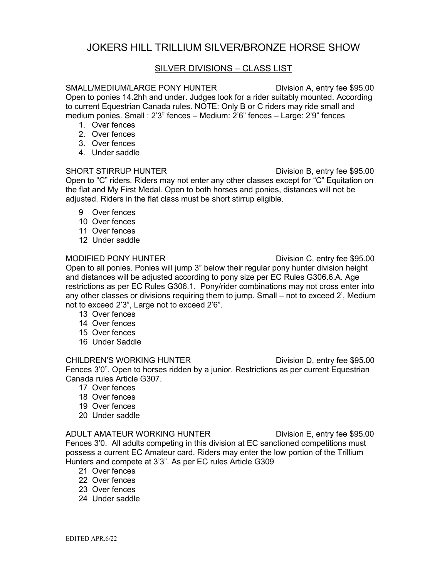# JOKERS HILL TRILLIUM SILVER/BRONZE HORSE SHOW

### SILVER DIVISIONS – CLASS LIST

### SMALL/MEDIUM/LARGE PONY HUNTER Division A, entry fee \$95.00

Open to ponies 14.2hh and under. Judges look for a rider suitably mounted. According to current Equestrian Canada rules. NOTE: Only B or C riders may ride small and medium ponies. Small : 2'3" fences – Medium: 2'6" fences – Large: 2'9" fences

- 1. Over fences
- 2. Over fences
- 3. Over fences
- 4. Under saddle

### SHORT STIRRUP HUNTER **Division B**, entry fee \$95.00

Open to "C" riders. Riders may not enter any other classes except for "C" Equitation on the flat and My First Medal. Open to both horses and ponies, distances will not be adjusted. Riders in the flat class must be short stirrup eligible.

- 9 Over fences
- 10 Over fences
- 11 Over fences
- 12 Under saddle

### MODIFIED PONY HUNTER DIVISION C, entry fee \$95.00

Open to all ponies. Ponies will jump 3" below their regular pony hunter division height and distances will be adjusted according to pony size per EC Rules G306.6.A. Age restrictions as per EC Rules G306.1. Pony/rider combinations may not cross enter into any other classes or divisions requiring them to jump. Small – not to exceed 2', Medium not to exceed 2'3", Large not to exceed 2'6".

- 13 Over fences
- 14 Over fences
- 15 Over fences
- 16 Under Saddle

### CHILDREN'S WORKING HUNTER Division D, entry fee \$95.00

Fences 3'0". Open to horses ridden by a junior. Restrictions as per current Equestrian Canada rules Article G307.

- 17 Over fences
- 18 Over fences
- 19 Over fences
- 20 Under saddle

### ADULT AMATEUR WORKING HUNTER Division E, entry fee \$95.00

Fences 3'0. All adults competing in this division at EC sanctioned competitions must possess a current EC Amateur card. Riders may enter the low portion of the Trillium Hunters and compete at 3'3". As per EC rules Article G309

- 21 Over fences
- 22 Over fences
- 23 Over fences
- 24 Under saddle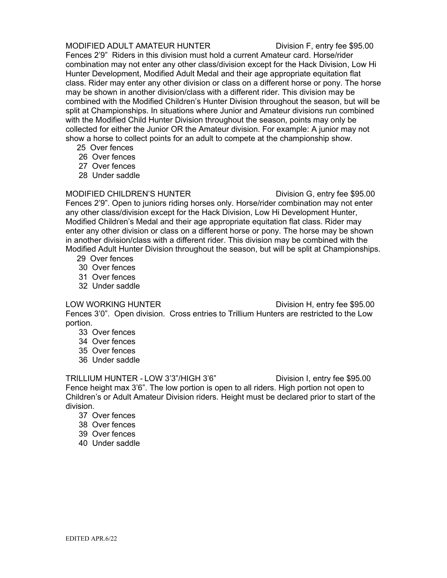### MODIFIED ADULT AMATEUR HUNTER Division F, entry fee \$95.00

Fences 2'9" Riders in this division must hold a current Amateur card. Horse/rider combination may not enter any other class/division except for the Hack Division, Low Hi Hunter Development, Modified Adult Medal and their age appropriate equitation flat class. Rider may enter any other division or class on a different horse or pony. The horse may be shown in another division/class with a different rider. This division may be combined with the Modified Children's Hunter Division throughout the season, but will be split at Championships. In situations where Junior and Amateur divisions run combined with the Modified Child Hunter Division throughout the season, points may only be collected for either the Junior OR the Amateur division. For example: A junior may not show a horse to collect points for an adult to compete at the championship show.

- 25 Over fences
- 26 Over fences
- 27 Over fences
- 28 Under saddle

MODIFIED CHILDREN'S HUNTER Division G, entry fee \$95.00 Fences 2'9". Open to juniors riding horses only. Horse/rider combination may not enter any other class/division except for the Hack Division, Low Hi Development Hunter, Modified Children's Medal and their age appropriate equitation flat class. Rider may enter any other division or class on a different horse or pony. The horse may be shown in another division/class with a different rider. This division may be combined with the Modified Adult Hunter Division throughout the season, but will be split at Championships.

- 29 Over fences
- 30 Over fences
- 31 Over fences
- 32 Under saddle

LOW WORKING HUNTER Division H, entry fee \$95.00

Fences 3'0". Open division. Cross entries to Trillium Hunters are restricted to the Low portion.

- 33 Over fences
- 34 Over fences
- 35 Over fences
- 36 Under saddle

TRILLIUM HUNTER - LOW 3'3"/HIGH 3'6" Division I, entry fee \$95.00 Fence height max 3'6". The low portion is open to all riders. High portion not open to Children's or Adult Amateur Division riders. Height must be declared prior to start of the division.

- 37 Over fences
- 38 Over fences
- 39 Over fences
- 40 Under saddle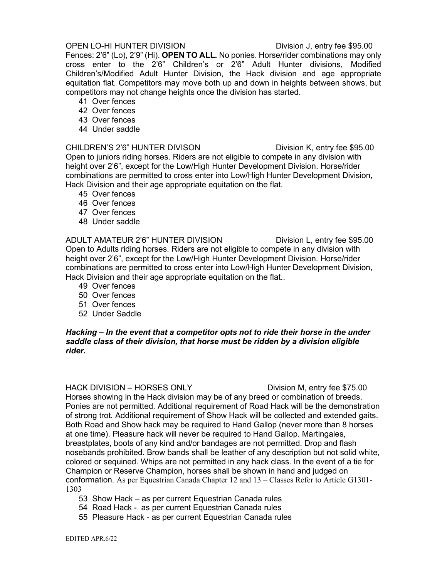### OPEN LO-HI HUNTER DIVISION Division J, entry fee \$95.00

Fences: 2'6" (Lo), 2'9" (Hi). **OPEN TO ALL.** No ponies. Horse/rider combinations may only cross enter to the 2'6" Children's or 2'6" Adult Hunter divisions, Modified Children's/Modified Adult Hunter Division, the Hack division and age appropriate equitation flat. Competitors may move both up and down in heights between shows, but competitors may not change heights once the division has started.

- 41 Over fences
- 42 Over fences
- 43 Over fences
- 44 Under saddle

### CHILDREN'S 2'6" HUNTER DIVISON Division K, entry fee \$95.00

Open to juniors riding horses. Riders are not eligible to compete in any division with height over 2'6", except for the Low/High Hunter Development Division. Horse/rider combinations are permitted to cross enter into Low/High Hunter Development Division, Hack Division and their age appropriate equitation on the flat.

- 45 Over fences
- 46 Over fences
- 47 Over fences
- 48 Under saddle

ADULT AMATEUR 2'6" HUNTER DIVISION Division L, entry fee \$95.00 Open to Adults riding horses. Riders are not eligible to compete in any division with height over 2'6", except for the Low/High Hunter Development Division. Horse/rider combinations are permitted to cross enter into Low/High Hunter Development Division, Hack Division and their age appropriate equitation on the flat..

- 49 Over fences
- 50 Over fences
- 51 Over fences
- 52 Under Saddle

### *Hacking – In the event that a competitor opts not to ride their horse in the under saddle class of their division, that horse must be ridden by a division eligible rider.*

### HACK DIVISION – HORSES ONLY Division M, entry fee \$75.00

Horses showing in the Hack division may be of any breed or combination of breeds. Ponies are not permitted. Additional requirement of Road Hack will be the demonstration of strong trot. Additional requirement of Show Hack will be collected and extended gaits. Both Road and Show hack may be required to Hand Gallop (never more than 8 horses at one time). Pleasure hack will never be required to Hand Gallop. Martingales, breastplates, boots of any kind and/or bandages are not permitted. Drop and flash nosebands prohibited. Brow bands shall be leather of any description but not solid white, colored or sequined. Whips are not permitted in any hack class. In the event of a tie for Champion or Reserve Champion, horses shall be shown in hand and judged on conformation. As per Equestrian Canada Chapter 12 and 13 – Classes Refer to Article G1301- 1303

- 53 Show Hack as per current Equestrian Canada rules
- 54 Road Hack as per current Equestrian Canada rules
- 55 Pleasure Hack as per current Equestrian Canada rules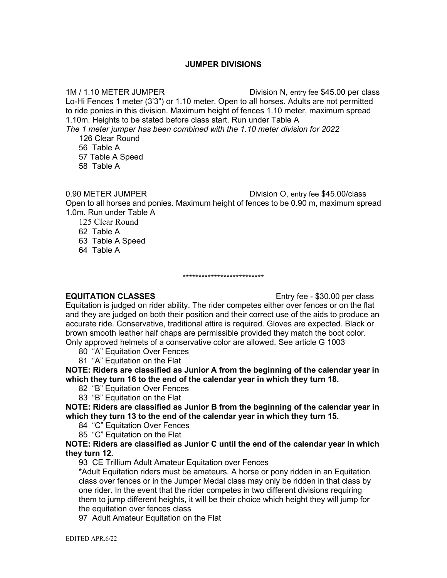### **JUMPER DIVISIONS**

1M / 1.10 METER JUMPER Division N, entry fee \$45.00 per class Lo-Hi Fences 1 meter (3'3") or 1.10 meter. Open to all horses. Adults are not permitted to ride ponies in this division. Maximum height of fences 1.10 meter, maximum spread 1.10m. Heights to be stated before class start. Run under Table A

*The 1 meter jumper has been combined with the 1.10 meter division for 2022* 126 Clear Round

56 Table A

57 Table A Speed

58 Table A

0.90 METER JUMPER Division O, entry fee \$45.00/class Open to all horses and ponies. Maximum height of fences to be 0.90 m, maximum spread 1.0m. Run under Table A

125 Clear Round

62 Table A

63 Table A Speed

64 Table A

### \*\*\*\*\*\*\*\*\*\*\*\*\*\*\*\*\*\*\*\*\*\*\*\*\*\*

**EQUITATION CLASSES** Entry fee - \$30.00 per class

Equitation is judged on rider ability. The rider competes either over fences or on the flat and they are judged on both their position and their correct use of the aids to produce an accurate ride. Conservative, traditional attire is required. Gloves are expected. Black or brown smooth leather half chaps are permissible provided they match the boot color. Only approved helmets of a conservative color are allowed. See article G 1003

80 "A" Equitation Over Fences

81 "A" Equitation on the Flat

**NOTE: Riders are classified as Junior A from the beginning of the calendar year in which they turn 16 to the end of the calendar year in which they turn 18.**

- 82 "B" Equitation Over Fences
- 83 "B" Equitation on the Flat

**NOTE: Riders are classified as Junior B from the beginning of the calendar year in which they turn 13 to the end of the calendar year in which they turn 15.**

- 84 "C" Equitation Over Fences
- 85 "C" Equitation on the Flat

**NOTE: Riders are classified as Junior C until the end of the calendar year in which they turn 12.**

93 CE Trillium Adult Amateur Equitation over Fences

\*Adult Equitation riders must be amateurs. A horse or pony ridden in an Equitation class over fences or in the Jumper Medal class may only be ridden in that class by one rider. In the event that the rider competes in two different divisions requiring them to jump different heights, it will be their choice which height they will jump for the equitation over fences class

97 Adult Amateur Equitation on the Flat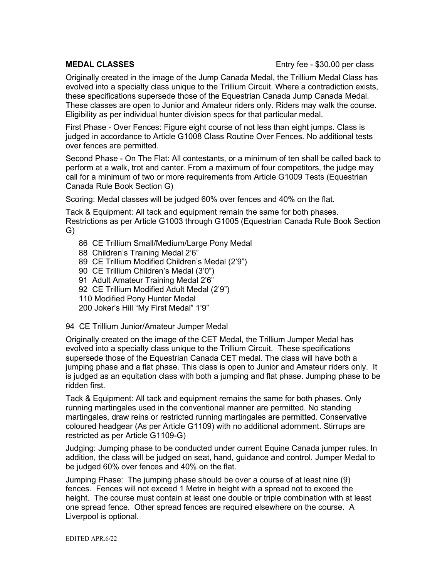### **MEDAL CLASSES** Entry fee - \$30.00 per class

Originally created in the image of the Jump Canada Medal, the Trillium Medal Class has evolved into a specialty class unique to the Trillium Circuit. Where a contradiction exists, these specifications supersede those of the Equestrian Canada Jump Canada Medal. These classes are open to Junior and Amateur riders only. Riders may walk the course. Eligibility as per individual hunter division specs for that particular medal.

First Phase - Over Fences: Figure eight course of not less than eight jumps. Class is judged in accordance to Article G1008 Class Routine Over Fences. No additional tests over fences are permitted.

Second Phase - On The Flat: All contestants, or a minimum of ten shall be called back to perform at a walk, trot and canter. From a maximum of four competitors, the judge may call for a minimum of two or more requirements from Article G1009 Tests (Equestrian Canada Rule Book Section G)

Scoring: Medal classes will be judged 60% over fences and 40% on the flat.

Tack & Equipment: All tack and equipment remain the same for both phases. Restrictions as per Article G1003 through G1005 (Equestrian Canada Rule Book Section G)

- 86 CE Trillium Small/Medium/Large Pony Medal
- 88 Children's Training Medal 2'6"
- 89 CE Trillium Modified Children's Medal (2'9")
- 90 CE Trillium Children's Medal (3'0")
- 91 Adult Amateur Training Medal 2'6"
- 92 CE Trillium Modified Adult Medal (2'9")
- 110 Modified Pony Hunter Medal
- 200 Joker's Hill "My First Medal" 1'9"
- 94 CE Trillium Junior/Amateur Jumper Medal

Originally created on the image of the CET Medal, the Trillium Jumper Medal has evolved into a specialty class unique to the Trillium Circuit. These specifications supersede those of the Equestrian Canada CET medal. The class will have both a jumping phase and a flat phase. This class is open to Junior and Amateur riders only. It is judged as an equitation class with both a jumping and flat phase. Jumping phase to be ridden first.

Tack & Equipment: All tack and equipment remains the same for both phases. Only running martingales used in the conventional manner are permitted. No standing martingales, draw reins or restricted running martingales are permitted. Conservative coloured headgear (As per Article G1109) with no additional adornment. Stirrups are restricted as per Article G1109-G)

Judging: Jumping phase to be conducted under current Equine Canada jumper rules. In addition, the class will be judged on seat, hand, guidance and control. Jumper Medal to be judged 60% over fences and 40% on the flat.

Jumping Phase: The jumping phase should be over a course of at least nine (9) fences. Fences will not exceed 1 Metre in height with a spread not to exceed the height. The course must contain at least one double or triple combination with at least one spread fence. Other spread fences are required elsewhere on the course. A Liverpool is optional.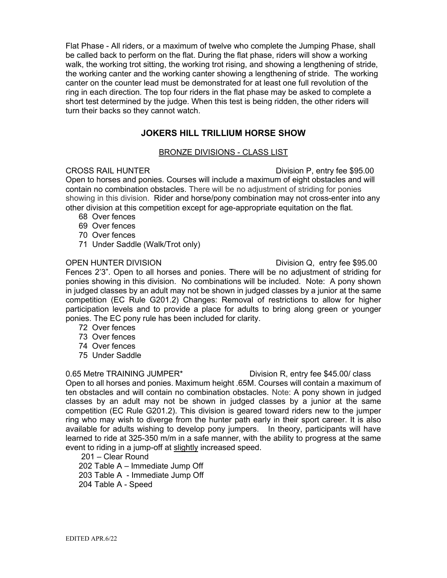Flat Phase - All riders, or a maximum of twelve who complete the Jumping Phase, shall be called back to perform on the flat. During the flat phase, riders will show a working walk, the working trot sitting, the working trot rising, and showing a lengthening of stride, the working canter and the working canter showing a lengthening of stride. The working canter on the counter lead must be demonstrated for at least one full revolution of the ring in each direction. The top four riders in the flat phase may be asked to complete a short test determined by the judge. When this test is being ridden, the other riders will turn their backs so they cannot watch.

### **JOKERS HILL TRILLIUM HORSE SHOW**

### BRONZE DIVISIONS - CLASS LIST

CROSS RAIL HUNTER Division P, entry fee \$95.00

Open to horses and ponies. Courses will include a maximum of eight obstacles and will contain no combination obstacles. There will be no adjustment of striding for ponies showing in this division. Rider and horse/pony combination may not cross-enter into any other division at this competition except for age-appropriate equitation on the flat.

- 68 Over fences
- 69 Over fences
- 70 Over fences
- 71 Under Saddle (Walk/Trot only)

OPEN HUNTER DIVISION Division Q, entry fee \$95.00 Fences 2'3". Open to all horses and ponies. There will be no adjustment of striding for ponies showing in this division. No combinations will be included. Note: A pony shown in judged classes by an adult may not be shown in judged classes by a junior at the same competition (EC Rule G201.2) Changes: Removal of restrictions to allow for higher participation levels and to provide a place for adults to bring along green or younger ponies. The EC pony rule has been included for clarity.

- 72 Over fences
- 73 Over fences
- 74 Over fences
- 75 Under Saddle

### 0.65 Metre TRAINING JUMPER<sup>\*</sup> Division R, entry fee \$45.00/ class

Open to all horses and ponies. Maximum height .65M. Courses will contain a maximum of ten obstacles and will contain no combination obstacles. Note: A pony shown in judged classes by an adult may not be shown in judged classes by a junior at the same competition (EC Rule G201.2). This division is geared toward riders new to the jumper ring who may wish to diverge from the hunter path early in their sport career. It is also available for adults wishing to develop pony jumpers. In theory, participants will have learned to ride at 325-350 m/m in a safe manner, with the ability to progress at the same event to riding in a jump-off at slightly increased speed.

201 – Clear Round

202 Table A – Immediate Jump Off 203 Table A - Immediate Jump Off 204 Table A - Speed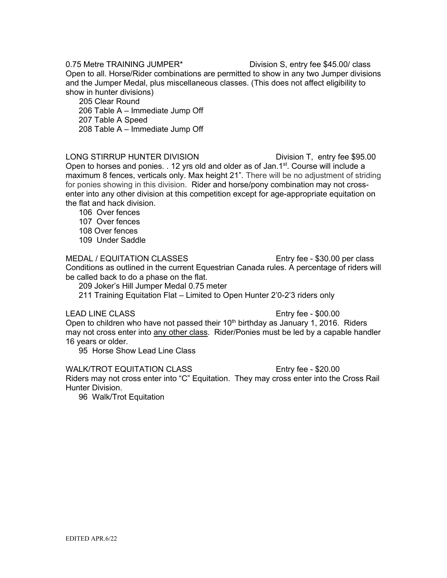0.75 Metre TRAINING JUMPER<sup>\*</sup> Division S, entry fee \$45.00/ class Open to all. Horse/Rider combinations are permitted to show in any two Jumper divisions and the Jumper Medal, plus miscellaneous classes. (This does not affect eligibility to show in hunter divisions)

 205 Clear Round 206 Table A – Immediate Jump Off 207 Table A Speed 208 Table A – Immediate Jump Off

LONG STIRRUP HUNTER DIVISION Division T, entry fee \$95.00 Open to horses and ponies. . 12 yrs old and older as of Jan.1<sup>st</sup>. Course will include a maximum 8 fences, verticals only. Max height 21". There will be no adjustment of striding for ponies showing in this division. Rider and horse/pony combination may not crossenter into any other division at this competition except for age-appropriate equitation on the flat and hack division.

106 Over fences

107 Over fences

108 Over fences

109 Under Saddle

MEDAL / EQUITATION CLASSES ENTRICATE: Entry fee - \$30.00 per class Conditions as outlined in the current Equestrian Canada rules. A percentage of riders will be called back to do a phase on the flat.

209 Joker's Hill Jumper Medal 0.75 meter

211 Training Equitation Flat – Limited to Open Hunter 2'0-2'3 riders only

### LEAD LINE CLASS Entry fee - \$00.00

Open to children who have not passed their  $10<sup>th</sup>$  birthday as January 1, 2016. Riders may not cross enter into any other class. Rider/Ponies must be led by a capable handler 16 years or older.

95 Horse Show Lead Line Class

WALK/TROT EQUITATION CLASS Entry fee - \$20.00

Riders may not cross enter into "C" Equitation. They may cross enter into the Cross Rail Hunter Division.

96 Walk/Trot Equitation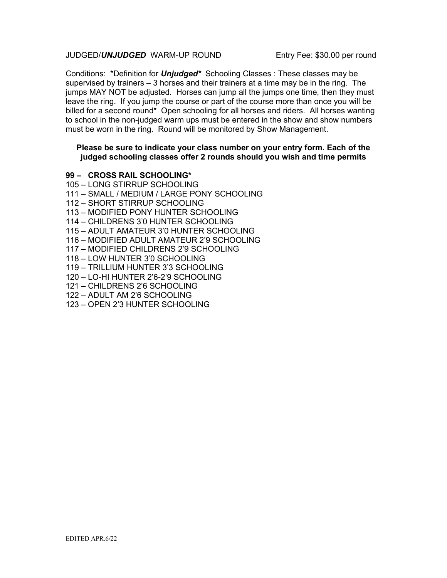### JUDGED/*UNJUDGED* WARM-UP ROUND Entry Fee: \$30.00 per round

Conditions: \*Definition for *Unjudged\** Schooling Classes : These classes may be supervised by trainers  $-3$  horses and their trainers at a time may be in the ring. The jumps MAY NOT be adjusted. Horses can jump all the jumps one time, then they must leave the ring. If you jump the course or part of the course more than once you will be billed for a second round\* Open schooling for all horses and riders. All horses wanting to school in the non-judged warm ups must be entered in the show and show numbers must be worn in the ring. Round will be monitored by Show Management.

### **Please be sure to indicate your class number on your entry form. Each of the judged schooling classes offer 2 rounds should you wish and time permits**

- **99 CROSS RAIL SCHOOLING\***
- 105 LONG STIRRUP SCHOOLING
- 111 SMALL / MEDIUM / LARGE PONY SCHOOLING
- 112 SHORT STIRRUP SCHOOLING
- 113 MODIFIED PONY HUNTER SCHOOLING
- 114 CHILDRENS 3'0 HUNTER SCHOOLING
- 115 ADULT AMATEUR 3'0 HUNTER SCHOOLING
- 116 MODIFIED ADULT AMATEUR 2'9 SCHOOLING
- 117 MODIFIED CHILDRENS 2'9 SCHOOLING
- 118 LOW HUNTER 3'0 SCHOOLING
- 119 TRILLIUM HUNTER 3'3 SCHOOLING
- 120 LO-HI HUNTER 2'6-2'9 SCHOOLING
- 121 CHILDRENS 2'6 SCHOOLING
- 122 ADULT AM 2'6 SCHOOLING
- 123 OPEN 2'3 HUNTER SCHOOLING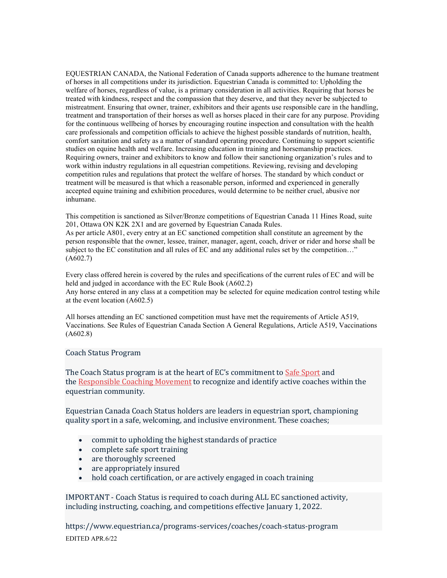EQUESTRIAN CANADA, the National Federation of Canada supports adherence to the humane treatment of horses in all competitions under its jurisdiction. Equestrian Canada is committed to: Upholding the welfare of horses, regardless of value, is a primary consideration in all activities. Requiring that horses be treated with kindness, respect and the compassion that they deserve, and that they never be subjected to mistreatment. Ensuring that owner, trainer, exhibitors and their agents use responsible care in the handling, treatment and transportation of their horses as well as horses placed in their care for any purpose. Providing for the continuous wellbeing of horses by encouraging routine inspection and consultation with the health care professionals and competition officials to achieve the highest possible standards of nutrition, health, comfort sanitation and safety as a matter of standard operating procedure. Continuing to support scientific studies on equine health and welfare. Increasing education in training and horsemanship practices. Requiring owners, trainer and exhibitors to know and follow their sanctioning organization's rules and to work within industry regulations in all equestrian competitions. Reviewing, revising and developing competition rules and regulations that protect the welfare of horses. The standard by which conduct or treatment will be measured is that which a reasonable person, informed and experienced in generally accepted equine training and exhibition procedures, would determine to be neither cruel, abusive nor inhumane.

This competition is sanctioned as Silver/Bronze competitions of Equestrian Canada 11 Hines Road, suite 201, Ottawa ON K2K 2X1 and are governed by Equestrian Canada Rules.

As per article A801, every entry at an EC sanctioned competition shall constitute an agreement by the person responsible that the owner, lessee, trainer, manager, agent, coach, driver or rider and horse shall be subject to the EC constitution and all rules of EC and any additional rules set by the competition..." (A602.7)

Every class offered herein is covered by the rules and specifications of the current rules of EC and will be held and judged in accordance with the EC Rule Book (A602.2) Any horse entered in any class at a competition may be selected for equine medication control testing while at the event location (A602.5)

All horses attending an EC sanctioned competition must have met the requirements of Article A519, Vaccinations. See Rules of Equestrian Canada Section A General Regulations, Article A519, Vaccinations (A602.8)

### Coach Status Program

The Coach Status program is at the heart of EC's commitment to [Safe Sport](https://sirc.ca/safesport/) and the [Responsible Coaching Movement](https://coach.ca/responsible-coaching-movement) to recognize and identify active coaches within the equestrian community.

Equestrian Canada Coach Status holders are leaders in equestrian sport, championing quality sport in a safe, welcoming, and inclusive environment. These coaches;

- commit to upholding the highest standards of practice
- complete safe sport training
- are thoroughly screened
- are appropriately insured
- hold coach certification, or are actively engaged in coach training

IMPORTANT - Coach Status is required to coach during ALL EC sanctioned activity, including instructing, coaching, and competitions effective January 1, 2022.

EDITED APR.6/22 https://www.equestrian.ca/programs-services/coaches/coach-status-program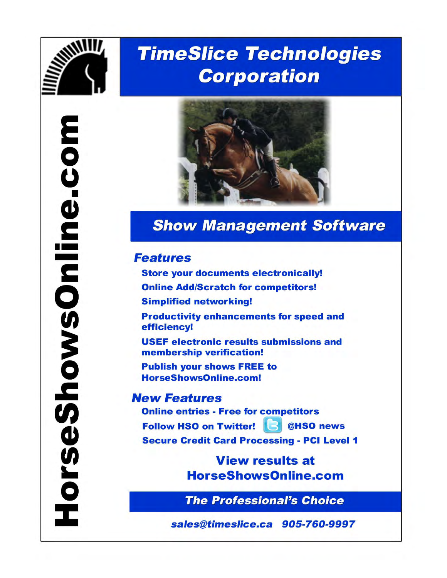

# **TimeSlice Technologies Corporation**



# **Show Management Software**

# **Features**

**Store your documents electronically! Online Add/Scratch for competitors! Simplified networking! Productivity enhancements for speed and** efficiency! **USEF electronic results submissions and** membership verification! **Publish your shows FREE to** HorseShowsOnline.com!

# **New Features**

**Online entries - Free for competitors** Follow HSO on Twitter! **B** @HSO news **Secure Credit Card Processing - PCI Level 1** 

> **View results at HorseShowsOnline.com**

> **The Professional's Choice**

sales@timeslice.ca 905-760-9997

EDITECTIVE CONTINUES.